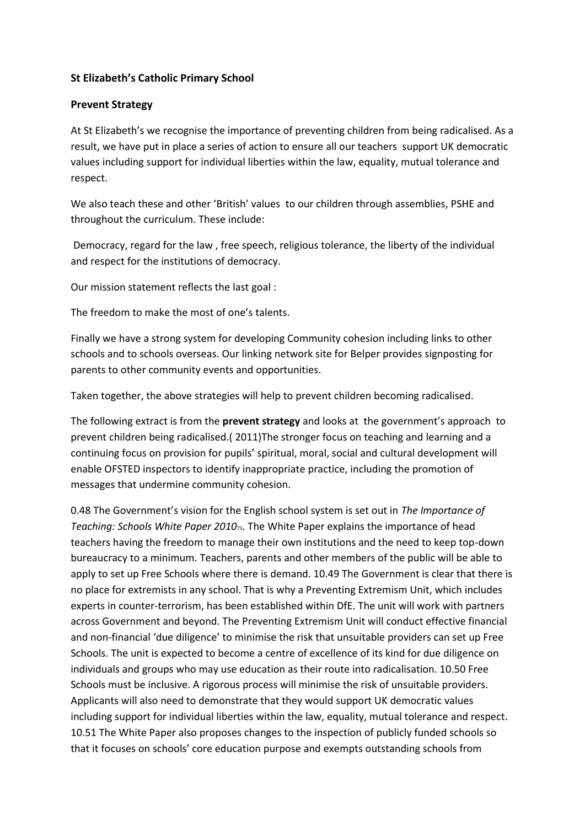## **St Elizabeth's Catholic Primary School**

## **Prevent Strategy**

At St Elizabeth's we recognise the importance of preventing children from being radicalised. As a result, we have put in place a series of action to ensure all our teachers support UK democratic values including support for individual liberties within the law, equality, mutual tolerance and respect.

We also teach these and other 'British' values to our children through assemblies, PSHE and throughout the curriculum. These include:

Democracy, regard for the law , free speech, religious tolerance, the liberty of the individual and respect for the institutions of democracy.

Our mission statement reflects the last goal :

The freedom to make the most of one's talents.

Finally we have a strong system for developing Community cohesion including links to other schools and to schools overseas. Our linking network site for Belper provides signposting for parents to other community events and opportunities.

Taken together, the above strategies will help to prevent children becoming radicalised.

The following extract is from the **prevent strategy** and looks at the government's approach to prevent children being radicalised.( 2011)The stronger focus on teaching and learning and a continuing focus on provision for pupils' spiritual, moral, social and cultural development will enable OFSTED inspectors to identify inappropriate practice, including the promotion of messages that undermine community cohesion.

0.48 The Government's vision for the English school system is set out in *The Importance of Teaching: Schools White Paper 2010*73. The White Paper explains the importance of head teachers having the freedom to manage their own institutions and the need to keep top-down bureaucracy to a minimum. Teachers, parents and other members of the public will be able to apply to set up Free Schools where there is demand. 10.49 The Government is clear that there is no place for extremists in any school. That is why a Preventing Extremism Unit, which includes experts in counter-terrorism, has been established within DfE. The unit will work with partners across Government and beyond. The Preventing Extremism Unit will conduct effective financial and non-financial 'due diligence' to minimise the risk that unsuitable providers can set up Free Schools. The unit is expected to become a centre of excellence of its kind for due diligence on individuals and groups who may use education as their route into radicalisation. 10.50 Free Schools must be inclusive. A rigorous process will minimise the risk of unsuitable providers. Applicants will also need to demonstrate that they would support UK democratic values including support for individual liberties within the law, equality, mutual tolerance and respect. 10.51 The White Paper also proposes changes to the inspection of publicly funded schools so that it focuses on schools' core education purpose and exempts outstanding schools from